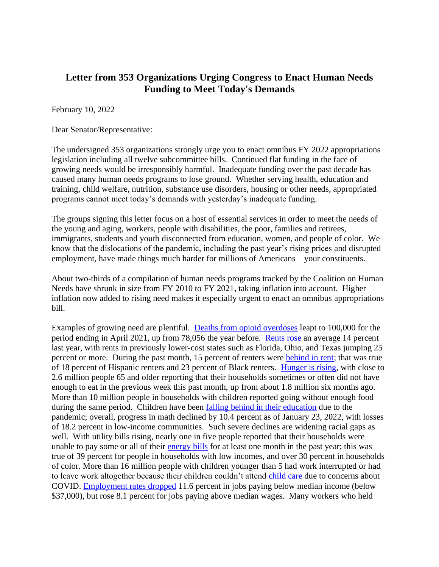## **Letter from 353 Organizations Urging Congress to Enact Human Needs Funding to Meet Today's Demands**

February 10, 2022

Dear Senator/Representative:

The undersigned 353 organizations strongly urge you to enact omnibus FY 2022 appropriations legislation including all twelve subcommittee bills. Continued flat funding in the face of growing needs would be irresponsibly harmful. Inadequate funding over the past decade has caused many human needs programs to lose ground. Whether serving health, education and training, child welfare, nutrition, substance use disorders, housing or other needs, appropriated programs cannot meet today's demands with yesterday's inadequate funding.

The groups signing this letter focus on a host of essential services in order to meet the needs of the young and aging, workers, people with disabilities, the poor, families and retirees, immigrants, students and youth disconnected from education, women, and people of color. We know that the dislocations of the pandemic, including the past year's rising prices and disrupted employment, have made things much harder for millions of Americans – your constituents.

About two-thirds of a compilation of human needs programs tracked by the Coalition on Human Needs have shrunk in size from FY 2010 to FY 2021, taking inflation into account. Higher inflation now added to rising need makes it especially urgent to enact an omnibus appropriations bill.

Examples of growing need are plentiful. [Deaths from opioid overdoses](https://www.cdc.gov/nchs/pressroom/nchs_press_releases/2021/20211117.htm) leapt to 100,000 for the period ending in April 2021, up from 78,056 the year before. [Rents rose](https://www.washingtonpost.com/business/2022/01/30/rent-inflation-housing/) an average 14 percent last year, with rents in previously lower-cost states such as Florida, Ohio, and Texas jumping 25 percent or more. During the past month, 15 percent of renters were **behind in rent**; that was true of 18 percent of Hispanic renters and 23 percent of Black renters. [Hunger is rising,](https://www.census.gov/programs-surveys/household-pulse-survey/data.html#phase3.3) with close to 2.6 million people 65 and older reporting that their households sometimes or often did not have enough to eat in the previous week this past month, up from about 1.8 million six months ago. More than 10 million people in households with children reported going without enough food during the same period. Children have been [falling behind in their education](https://www.chn.org/wp-content/uploads/2022/02/LowIncomeMath.png) due to the pandemic; overall, progress in math declined by 10.4 percent as of January 23, 2022, with losses of 18.2 percent in low-income communities. Such severe declines are widening racial gaps as well. With utility bills rising, nearly one in five people reported that their households were unable to pay some or all of their [energy bills](https://neada.org/pulsesurvey/) for at least one month in the past year; this was true of 39 percent for people in households with low incomes, and over 30 percent in households of color. More than 16 million people with children younger than 5 had work interrupted or had to leave work altogether because their children couldn't attend [child care](https://www.census.gov/data/tables/2021/demo/hhp/hhp41.html) due to concerns about COVID. [Employment rates dropped](https://www.chn.org/wp-content/uploads/2022/02/ChangeEmploymentChart.png) 11.6 percent in jobs paying below median income (below \$37,000), but rose 8.1 percent for jobs paying above median wages. Many workers who held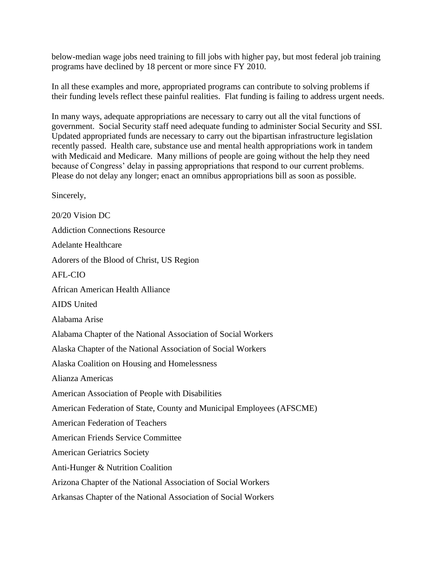below-median wage jobs need training to fill jobs with higher pay, but most federal job training programs have declined by 18 percent or more since FY 2010.

In all these examples and more, appropriated programs can contribute to solving problems if their funding levels reflect these painful realities. Flat funding is failing to address urgent needs.

In many ways, adequate appropriations are necessary to carry out all the vital functions of government. Social Security staff need adequate funding to administer Social Security and SSI. Updated appropriated funds are necessary to carry out the bipartisan infrastructure legislation recently passed. Health care, substance use and mental health appropriations work in tandem with Medicaid and Medicare. Many millions of people are going without the help they need because of Congress' delay in passing appropriations that respond to our current problems. Please do not delay any longer; enact an omnibus appropriations bill as soon as possible.

Sincerely,

20/20 Vision DC Addiction Connections Resource Adelante Healthcare Adorers of the Blood of Christ, US Region AFL-CIO African American Health Alliance AIDS United Alabama Arise Alabama Chapter of the National Association of Social Workers Alaska Chapter of the National Association of Social Workers Alaska Coalition on Housing and Homelessness Alianza Americas American Association of People with Disabilities American Federation of State, County and Municipal Employees (AFSCME) American Federation of Teachers American Friends Service Committee American Geriatrics Society Anti-Hunger & Nutrition Coalition Arizona Chapter of the National Association of Social Workers Arkansas Chapter of the National Association of Social Workers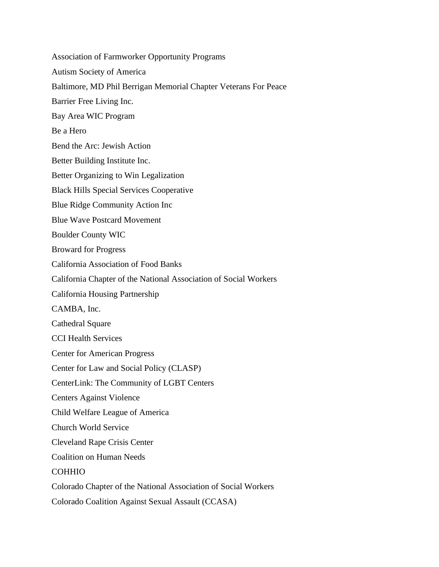Association of Farmworker Opportunity Programs Autism Society of America Baltimore, MD Phil Berrigan Memorial Chapter Veterans For Peace Barrier Free Living Inc. Bay Area WIC Program Be a Hero Bend the Arc: Jewish Action Better Building Institute Inc. Better Organizing to Win Legalization Black Hills Special Services Cooperative Blue Ridge Community Action Inc Blue Wave Postcard Movement Boulder County WIC Broward for Progress California Association of Food Banks California Chapter of the National Association of Social Workers California Housing Partnership CAMBA, Inc. Cathedral Square CCI Health Services Center for American Progress Center for Law and Social Policy (CLASP) CenterLink: The Community of LGBT Centers Centers Against Violence Child Welfare League of America Church World Service Cleveland Rape Crisis Center Coalition on Human Needs COHHIO Colorado Chapter of the National Association of Social Workers Colorado Coalition Against Sexual Assault (CCASA)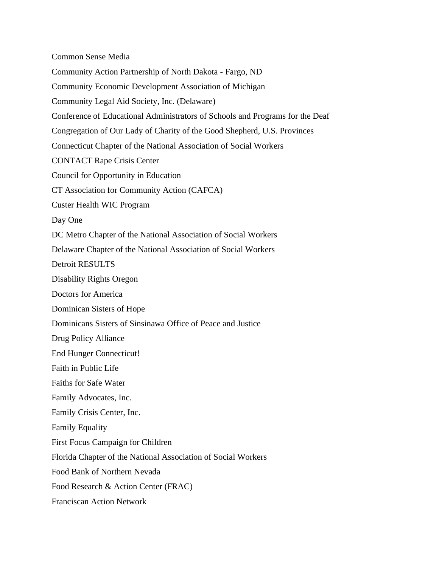Common Sense Media Community Action Partnership of North Dakota - Fargo, ND Community Economic Development Association of Michigan Community Legal Aid Society, Inc. (Delaware) Conference of Educational Administrators of Schools and Programs for the Deaf Congregation of Our Lady of Charity of the Good Shepherd, U.S. Provinces Connecticut Chapter of the National Association of Social Workers CONTACT Rape Crisis Center Council for Opportunity in Education CT Association for Community Action (CAFCA) Custer Health WIC Program Day One DC Metro Chapter of the National Association of Social Workers Delaware Chapter of the National Association of Social Workers Detroit RESULTS Disability Rights Oregon Doctors for America Dominican Sisters of Hope Dominicans Sisters of Sinsinawa Office of Peace and Justice Drug Policy Alliance End Hunger Connecticut! Faith in Public Life Faiths for Safe Water Family Advocates, Inc. Family Crisis Center, Inc. Family Equality First Focus Campaign for Children Florida Chapter of the National Association of Social Workers Food Bank of Northern Nevada Food Research & Action Center (FRAC) Franciscan Action Network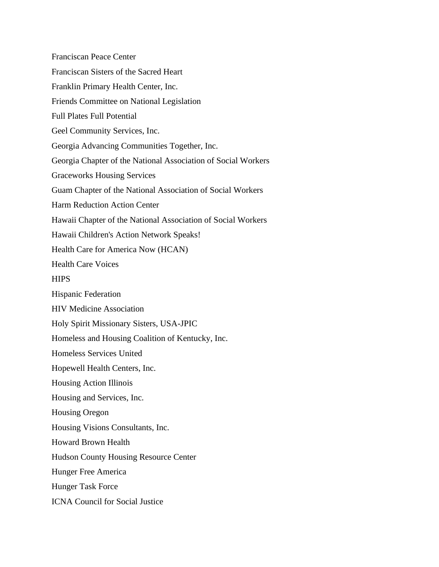Franciscan Peace Center Franciscan Sisters of the Sacred Heart Franklin Primary Health Center, Inc. Friends Committee on National Legislation Full Plates Full Potential Geel Community Services, Inc. Georgia Advancing Communities Together, Inc. Georgia Chapter of the National Association of Social Workers Graceworks Housing Services Guam Chapter of the National Association of Social Workers Harm Reduction Action Center Hawaii Chapter of the National Association of Social Workers Hawaii Children's Action Network Speaks! Health Care for America Now (HCAN) Health Care Voices **HIPS** Hispanic Federation HIV Medicine Association Holy Spirit Missionary Sisters, USA-JPIC Homeless and Housing Coalition of Kentucky, Inc. Homeless Services United Hopewell Health Centers, Inc. Housing Action Illinois Housing and Services, Inc. Housing Oregon Housing Visions Consultants, Inc. Howard Brown Health Hudson County Housing Resource Center Hunger Free America Hunger Task Force ICNA Council for Social Justice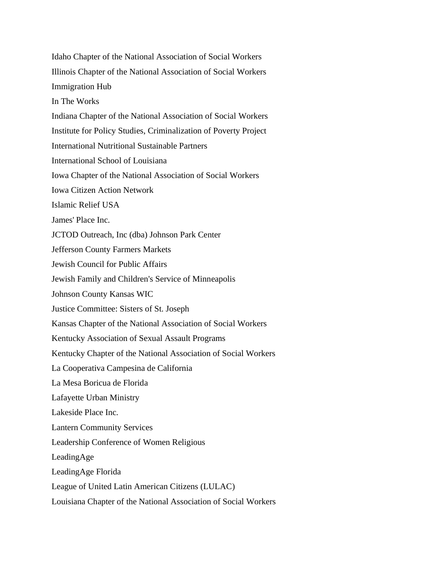Idaho Chapter of the National Association of Social Workers Illinois Chapter of the National Association of Social Workers Immigration Hub In The Works Indiana Chapter of the National Association of Social Workers Institute for Policy Studies, Criminalization of Poverty Project International Nutritional Sustainable Partners International School of Louisiana Iowa Chapter of the National Association of Social Workers Iowa Citizen Action Network Islamic Relief USA James' Place Inc. JCTOD Outreach, Inc (dba) Johnson Park Center Jefferson County Farmers Markets Jewish Council for Public Affairs Jewish Family and Children's Service of Minneapolis Johnson County Kansas WIC Justice Committee: Sisters of St. Joseph Kansas Chapter of the National Association of Social Workers Kentucky Association of Sexual Assault Programs Kentucky Chapter of the National Association of Social Workers La Cooperativa Campesina de California La Mesa Boricua de Florida Lafayette Urban Ministry Lakeside Place Inc. Lantern Community Services Leadership Conference of Women Religious LeadingAge LeadingAge Florida League of United Latin American Citizens (LULAC) Louisiana Chapter of the National Association of Social Workers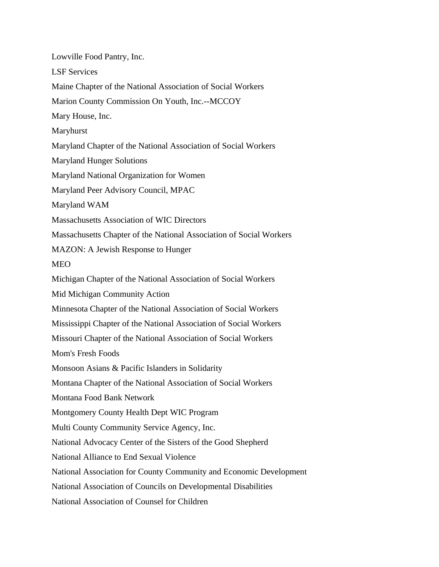Lowville Food Pantry, Inc. LSF Services Maine Chapter of the National Association of Social Workers Marion County Commission On Youth, Inc.--MCCOY Mary House, Inc. Maryhurst Maryland Chapter of the National Association of Social Workers Maryland Hunger Solutions Maryland National Organization for Women Maryland Peer Advisory Council, MPAC Maryland WAM Massachusetts Association of WIC Directors Massachusetts Chapter of the National Association of Social Workers MAZON: A Jewish Response to Hunger MEO Michigan Chapter of the National Association of Social Workers Mid Michigan Community Action Minnesota Chapter of the National Association of Social Workers Mississippi Chapter of the National Association of Social Workers Missouri Chapter of the National Association of Social Workers Mom's Fresh Foods Monsoon Asians & Pacific Islanders in Solidarity Montana Chapter of the National Association of Social Workers Montana Food Bank Network Montgomery County Health Dept WIC Program Multi County Community Service Agency, Inc. National Advocacy Center of the Sisters of the Good Shepherd National Alliance to End Sexual Violence National Association for County Community and Economic Development National Association of Councils on Developmental Disabilities National Association of Counsel for Children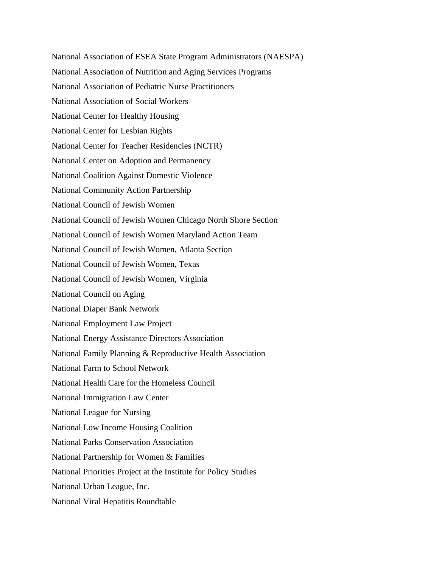National Association of ESEA State Program Administrators (NAESPA) National Association of Nutrition and Aging Services Programs National Association of Pediatric Nurse Practitioners National Association of Social Workers National Center for Healthy Housing National Center for Lesbian Rights National Center for Teacher Residencies (NCTR) National Center on Adoption and Permanency National Coalition Against Domestic Violence National Community Action Partnership National Council of Jewish Women National Council of Jewish Women Chicago North Shore Section National Council of Jewish Women Maryland Action Team National Council of Jewish Women, Atlanta Section National Council of Jewish Women, Texas National Council of Jewish Women, Virginia National Council on Aging National Diaper Bank Network National Employment Law Project National Energy Assistance Directors Association National Family Planning & Reproductive Health Association National Farm to School Network National Health Care for the Homeless Council National Immigration Law Center National League for Nursing National Low Income Housing Coalition National Parks Conservation Association National Partnership for Women & Families National Priorities Project at the Institute for Policy Studies National Urban League, Inc. National Viral Hepatitis Roundtable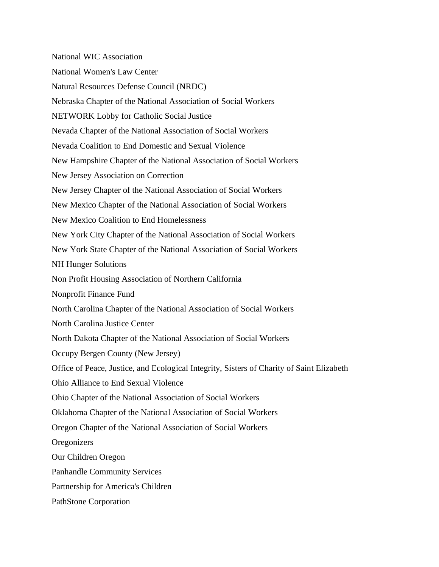National WIC Association National Women's Law Center Natural Resources Defense Council (NRDC) Nebraska Chapter of the National Association of Social Workers NETWORK Lobby for Catholic Social Justice Nevada Chapter of the National Association of Social Workers Nevada Coalition to End Domestic and Sexual Violence New Hampshire Chapter of the National Association of Social Workers New Jersey Association on Correction New Jersey Chapter of the National Association of Social Workers New Mexico Chapter of the National Association of Social Workers New Mexico Coalition to End Homelessness New York City Chapter of the National Association of Social Workers New York State Chapter of the National Association of Social Workers NH Hunger Solutions Non Profit Housing Association of Northern California Nonprofit Finance Fund North Carolina Chapter of the National Association of Social Workers North Carolina Justice Center North Dakota Chapter of the National Association of Social Workers Occupy Bergen County (New Jersey) Office of Peace, Justice, and Ecological Integrity, Sisters of Charity of Saint Elizabeth Ohio Alliance to End Sexual Violence Ohio Chapter of the National Association of Social Workers Oklahoma Chapter of the National Association of Social Workers Oregon Chapter of the National Association of Social Workers **Oregonizers** Our Children Oregon Panhandle Community Services Partnership for America's Children PathStone Corporation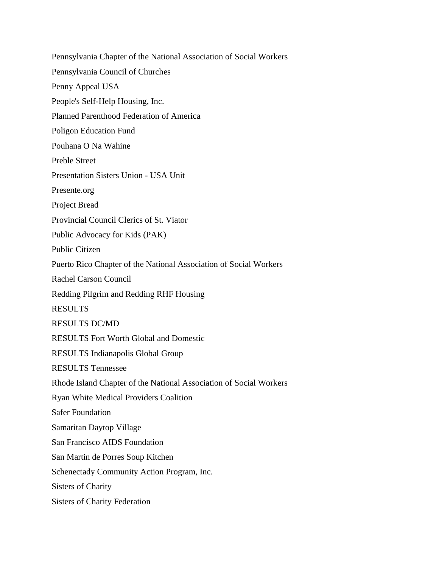Pennsylvania Chapter of the National Association of Social Workers Pennsylvania Council of Churches Penny Appeal USA People's Self-Help Housing, Inc. Planned Parenthood Federation of America Poligon Education Fund Pouhana O Na Wahine Preble Street Presentation Sisters Union - USA Unit Presente.org Project Bread Provincial Council Clerics of St. Viator Public Advocacy for Kids (PAK) Public Citizen Puerto Rico Chapter of the National Association of Social Workers Rachel Carson Council Redding Pilgrim and Redding RHF Housing RESULTS RESULTS DC/MD RESULTS Fort Worth Global and Domestic RESULTS Indianapolis Global Group RESULTS Tennessee Rhode Island Chapter of the National Association of Social Workers Ryan White Medical Providers Coalition Safer Foundation Samaritan Daytop Village San Francisco AIDS Foundation San Martin de Porres Soup Kitchen Schenectady Community Action Program, Inc. Sisters of Charity Sisters of Charity Federation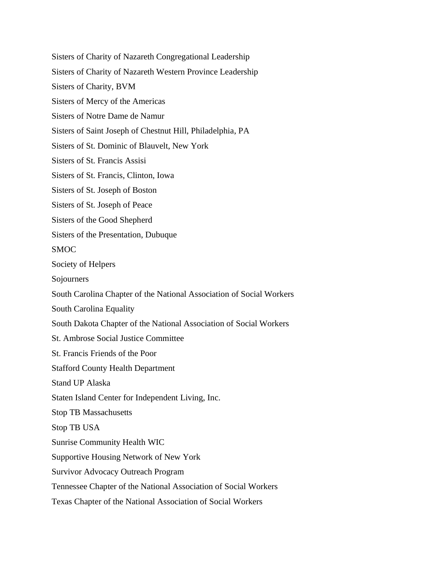Sisters of Charity of Nazareth Congregational Leadership Sisters of Charity of Nazareth Western Province Leadership Sisters of Charity, BVM Sisters of Mercy of the Americas Sisters of Notre Dame de Namur Sisters of Saint Joseph of Chestnut Hill, Philadelphia, PA Sisters of St. Dominic of Blauvelt, New York Sisters of St. Francis Assisi Sisters of St. Francis, Clinton, Iowa Sisters of St. Joseph of Boston Sisters of St. Joseph of Peace Sisters of the Good Shepherd Sisters of the Presentation, Dubuque SMOC Society of Helpers Sojourners South Carolina Chapter of the National Association of Social Workers South Carolina Equality South Dakota Chapter of the National Association of Social Workers St. Ambrose Social Justice Committee St. Francis Friends of the Poor Stafford County Health Department Stand UP Alaska Staten Island Center for Independent Living, Inc. Stop TB Massachusetts Stop TB USA Sunrise Community Health WIC Supportive Housing Network of New York Survivor Advocacy Outreach Program Tennessee Chapter of the National Association of Social Workers Texas Chapter of the National Association of Social Workers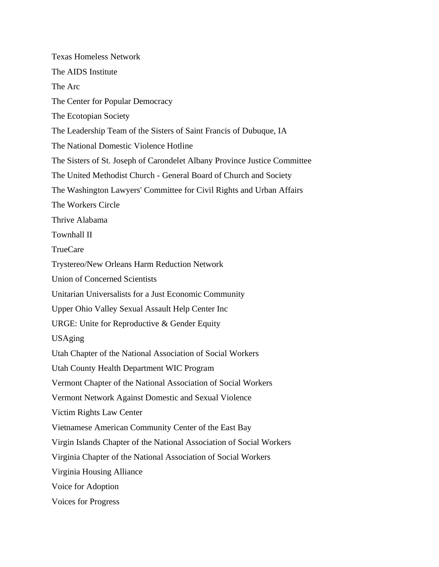Texas Homeless Network The AIDS Institute The Arc The Center for Popular Democracy The Ecotopian Society The Leadership Team of the Sisters of Saint Francis of Dubuque, IA The National Domestic Violence Hotline The Sisters of St. Joseph of Carondelet Albany Province Justice Committee The United Methodist Church - General Board of Church and Society The Washington Lawyers' Committee for Civil Rights and Urban Affairs The Workers Circle Thrive Alabama Townhall II TrueCare Trystereo/New Orleans Harm Reduction Network Union of Concerned Scientists Unitarian Universalists for a Just Economic Community Upper Ohio Valley Sexual Assault Help Center Inc URGE: Unite for Reproductive & Gender Equity USAging Utah Chapter of the National Association of Social Workers Utah County Health Department WIC Program Vermont Chapter of the National Association of Social Workers Vermont Network Against Domestic and Sexual Violence Victim Rights Law Center Vietnamese American Community Center of the East Bay Virgin Islands Chapter of the National Association of Social Workers Virginia Chapter of the National Association of Social Workers Virginia Housing Alliance Voice for Adoption Voices for Progress